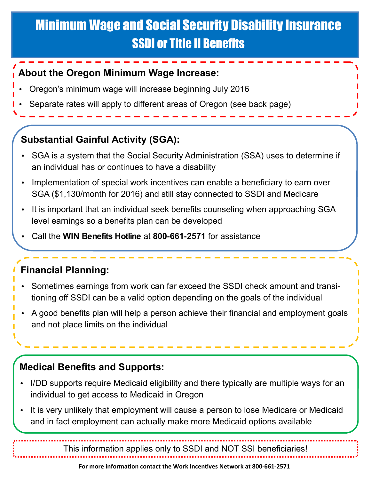# Minimum Wage and Social Security Disability Insurance SSDI or Title II Benefits

#### **About the Oregon Minimum Wage Increase:**

- Oregon's minimum wage will increase beginning July 2016
- Separate rates will apply to different areas of Oregon (see back page)

## **Substantial Gainful Activity (SGA):**

- SGA is a system that the Social Security Administration (SSA) uses to determine if an individual has or continues to have a disability
- Implementation of special work incentives can enable a beneficiary to earn over SGA (\$1,130/month for 2016) and still stay connected to SSDI and Medicare
- It is important that an individual seek benefits counseling when approaching SGA level earnings so a benefits plan can be developed
- Call the **WIN Benefits Hotline** at **800-661-2571** for assistance

# **Financial Planning:**

- Sometimes earnings from work can far exceed the SSDI check amount and transitioning off SSDI can be a valid option depending on the goals of the individual
- A good benefits plan will help a person achieve their financial and employment goals and not place limits on the individual

## **Medical Benefits and Supports:**

- I/DD supports require Medicaid eligibility and there typically are multiple ways for an individual to get access to Medicaid in Oregon
- It is very unlikely that employment will cause a person to lose Medicare or Medicaid and in fact employment can actually make more Medicaid options available

This information applies only to SSDI and NOT SSI beneficiaries!